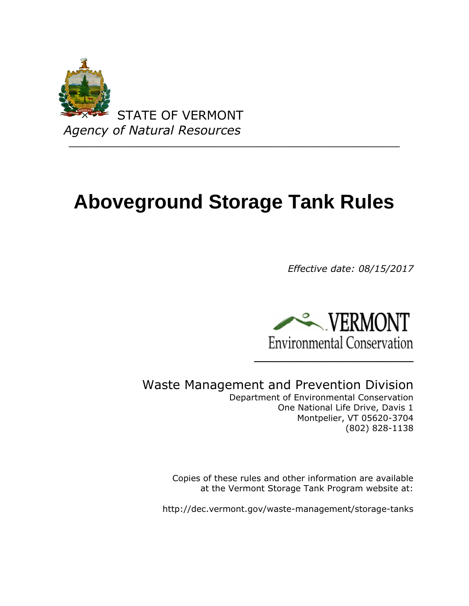

# **Aboveground Storage Tank Rules**

*Effective date: 08/15/2017*



Waste Management and Prevention Division

Department of Environmental Conservation One National Life Drive, Davis 1 Montpelier, VT 05620-3704 (802) 828-1138

Copies of these rules and other information are available at the Vermont Storage Tank Program website at:

http://dec.vermont.gov/waste-management/storage-tanks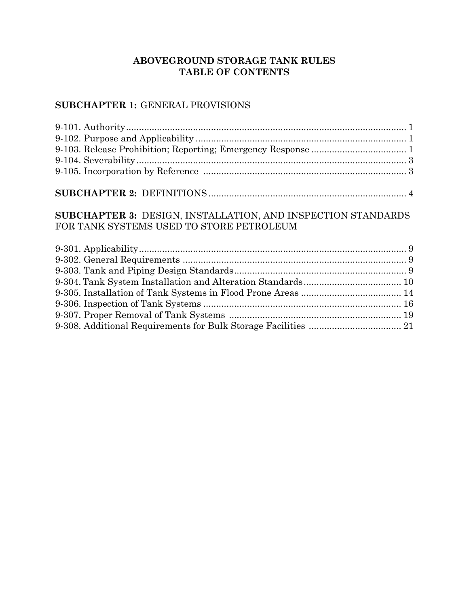# **ABOVEGROUND STORAGE TANK RULES TABLE OF CONTENTS**

# **SUBCHAPTER 1:** GENERAL PROVISIONS

# **SUBCHAPTER 3:** DESIGN, INSTALLATION, AND INSPECTION STANDARDS FOR TANK SYSTEMS USED TO STORE PETROLEUM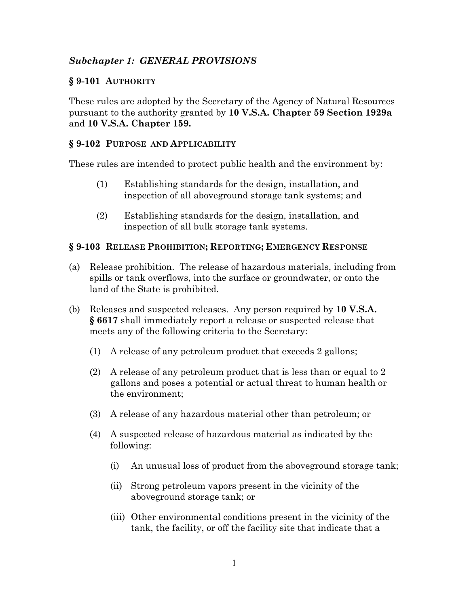# *Subchapter 1: GENERAL PROVISIONS*

# **§ 9-101 AUTHORITY**

These rules are adopted by the Secretary of the Agency of Natural Resources pursuant to the authority granted by **10 V.S.A. Chapter 59 Section 1929a**  and **10 V.S.A. Chapter 159.**

## **§ 9-102 PURPOSE AND APPLICABILITY**

These rules are intended to protect public health and the environment by:

- (1) Establishing standards for the design, installation, and inspection of all aboveground storage tank systems; and
- (2) Establishing standards for the design, installation, and inspection of all bulk storage tank systems.

## **§ 9-103 RELEASE PROHIBITION; REPORTING; EMERGENCY RESPONSE**

- (a) Release prohibition. The release of hazardous materials, including from spills or tank overflows, into the surface or groundwater, or onto the land of the State is prohibited.
- (b) Releases and suspected releases. Any person required by **10 V.S.A. § 6617** shall immediately report a release or suspected release that meets any of the following criteria to the Secretary:
	- (1) A release of any petroleum product that exceeds 2 gallons;
	- (2) A release of any petroleum product that is less than or equal to 2 gallons and poses a potential or actual threat to human health or the environment;
	- (3) A release of any hazardous material other than petroleum; or
	- (4) A suspected release of hazardous material as indicated by the following:
		- (i) An unusual loss of product from the aboveground storage tank;
		- (ii) Strong petroleum vapors present in the vicinity of the aboveground storage tank; or
		- (iii) Other environmental conditions present in the vicinity of the tank, the facility, or off the facility site that indicate that a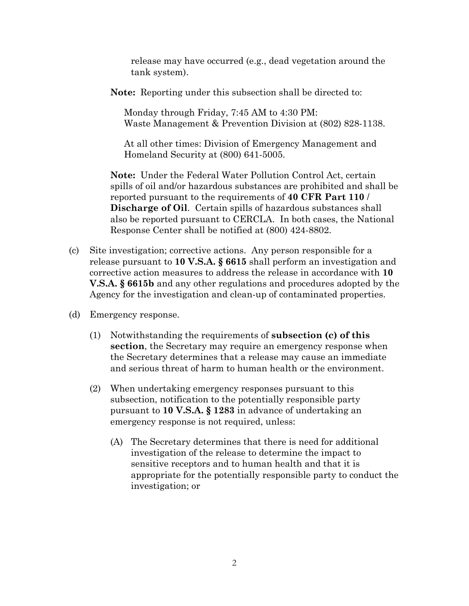release may have occurred (e.g., dead vegetation around the tank system).

**Note:** Reporting under this subsection shall be directed to:

Monday through Friday, 7:45 AM to 4:30 PM: Waste Management & Prevention Division at (802) 828-1138.

At all other times: Division of Emergency Management and Homeland Security at (800) 641-5005.

**Note:** Under the Federal Water Pollution Control Act, certain spills of oil and/or hazardous substances are prohibited and shall be reported pursuant to the requirements of **40 CFR Part 110** / **Discharge of Oil**. Certain spills of hazardous substances shall also be reported pursuant to CERCLA. In both cases, the National Response Center shall be notified at (800) 424-8802.

- (c) Site investigation; corrective actions. Any person responsible for a release pursuant to **10 V.S.A. § 6615** shall perform an investigation and corrective action measures to address the release in accordance with **10 V.S.A. § 6615b** and any other regulations and procedures adopted by the Agency for the investigation and clean-up of contaminated properties.
- (d) Emergency response.
	- (1) Notwithstanding the requirements of **subsection (c) of this section**, the Secretary may require an emergency response when the Secretary determines that a release may cause an immediate and serious threat of harm to human health or the environment.
	- (2) When undertaking emergency responses pursuant to this subsection, notification to the potentially responsible party pursuant to **10 V.S.A. § 1283** in advance of undertaking an emergency response is not required, unless:
		- (A) The Secretary determines that there is need for additional investigation of the release to determine the impact to sensitive receptors and to human health and that it is appropriate for the potentially responsible party to conduct the investigation; or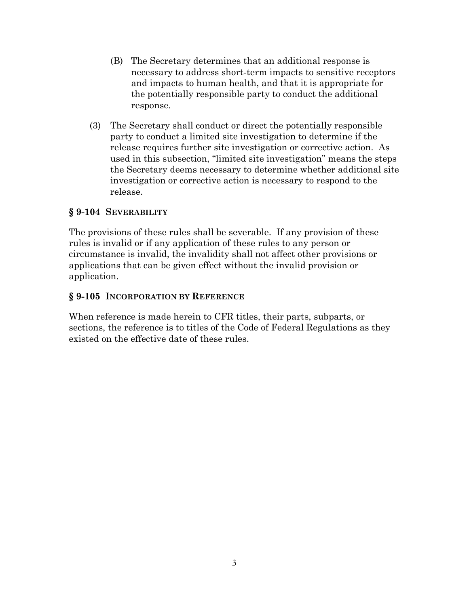- (B) The Secretary determines that an additional response is necessary to address short-term impacts to sensitive receptors and impacts to human health, and that it is appropriate for the potentially responsible party to conduct the additional response.
- (3) The Secretary shall conduct or direct the potentially responsible party to conduct a limited site investigation to determine if the release requires further site investigation or corrective action. As used in this subsection, "limited site investigation" means the steps the Secretary deems necessary to determine whether additional site investigation or corrective action is necessary to respond to the release.

# **§ 9-104 SEVERABILITY**

The provisions of these rules shall be severable. If any provision of these rules is invalid or if any application of these rules to any person or circumstance is invalid, the invalidity shall not affect other provisions or applications that can be given effect without the invalid provision or application.

## **§ 9-105 INCORPORATION BY REFERENCE**

When reference is made herein to CFR titles, their parts, subparts, or sections, the reference is to titles of the Code of Federal Regulations as they existed on the effective date of these rules.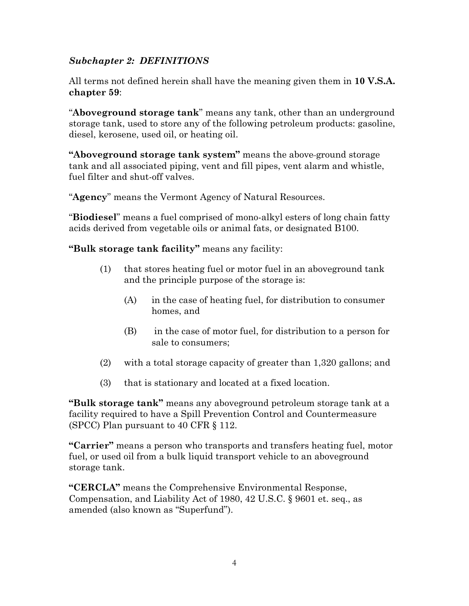# *Subchapter 2: DEFINITIONS*

All terms not defined herein shall have the meaning given them in **10 V.S.A. chapter 59**:

"**Aboveground storage tank**" means any tank, other than an underground storage tank, used to store any of the following petroleum products: gasoline, diesel, kerosene, used oil, or heating oil.

**"Aboveground storage tank system"** means the above ground storage tank and all associated piping, vent and fill pipes, vent alarm and whistle, fuel filter and shut-off valves.

"**Agency**" means the Vermont Agency of Natural Resources.

"**Biodiesel**" means a fuel comprised of mono-alkyl esters of long chain fatty acids derived from vegetable oils or animal fats, or designated B100.

**"Bulk storage tank facility"** means any facility:

- (1) that stores heating fuel or motor fuel in an aboveground tank and the principle purpose of the storage is:
	- (A) in the case of heating fuel, for distribution to consumer homes, and
	- (B) in the case of motor fuel, for distribution to a person for sale to consumers;
- (2) with a total storage capacity of greater than 1,320 gallons; and
- (3) that is stationary and located at a fixed location.

**"Bulk storage tank"** means any aboveground petroleum storage tank at a facility required to have a Spill Prevention Control and Countermeasure (SPCC) Plan pursuant to 40 CFR § 112.

**"Carrier"** means a person who transports and transfers heating fuel, motor fuel, or used oil from a bulk liquid transport vehicle to an aboveground storage tank.

**"CERCLA"** means the Comprehensive Environmental Response, Compensation, and Liability Act of 1980, 42 U.S.C. § 9601 et. seq., as amended (also known as "Superfund").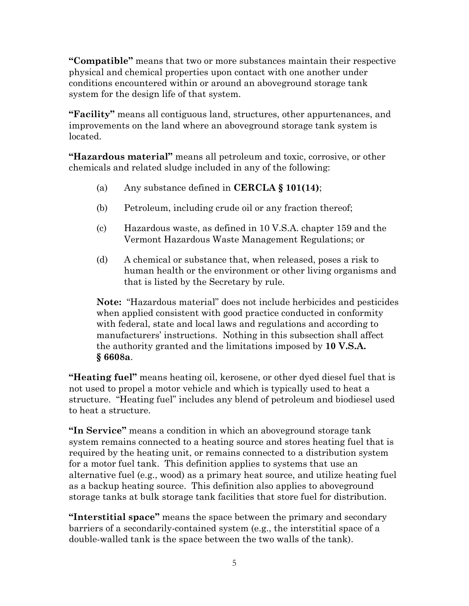**"Compatible"** means that two or more substances maintain their respective physical and chemical properties upon contact with one another under conditions encountered within or around an aboveground storage tank system for the design life of that system.

**"Facility"** means all contiguous land, structures, other appurtenances, and improvements on the land where an aboveground storage tank system is located.

**"Hazardous material"** means all petroleum and toxic, corrosive, or other chemicals and related sludge included in any of the following:

- (a) Any substance defined in **CERCLA § 101(14)**;
- (b) Petroleum, including crude oil or any fraction thereof;
- (c) Hazardous waste, as defined in 10 V.S.A. chapter 159 and the Vermont Hazardous Waste Management Regulations; or
- (d) A chemical or substance that, when released, poses a risk to human health or the environment or other living organisms and that is listed by the Secretary by rule.

**Note:** "Hazardous material" does not include herbicides and pesticides when applied consistent with good practice conducted in conformity with federal, state and local laws and regulations and according to manufacturers' instructions. Nothing in this subsection shall affect the authority granted and the limitations imposed by **10 V.S.A. § 6608a**.

**"Heating fuel"** means heating oil, kerosene, or other dyed diesel fuel that is not used to propel a motor vehicle and which is typically used to heat a structure. "Heating fuel" includes any blend of petroleum and biodiesel used to heat a structure.

**"In Service"** means a condition in which an aboveground storage tank system remains connected to a heating source and stores heating fuel that is required by the heating unit, or remains connected to a distribution system for a motor fuel tank. This definition applies to systems that use an alternative fuel (e.g., wood) as a primary heat source, and utilize heating fuel as a backup heating source. This definition also applies to aboveground storage tanks at bulk storage tank facilities that store fuel for distribution.

**"Interstitial space"** means the space between the primary and secondary barriers of a secondarily-contained system (e.g., the interstitial space of a double-walled tank is the space between the two walls of the tank).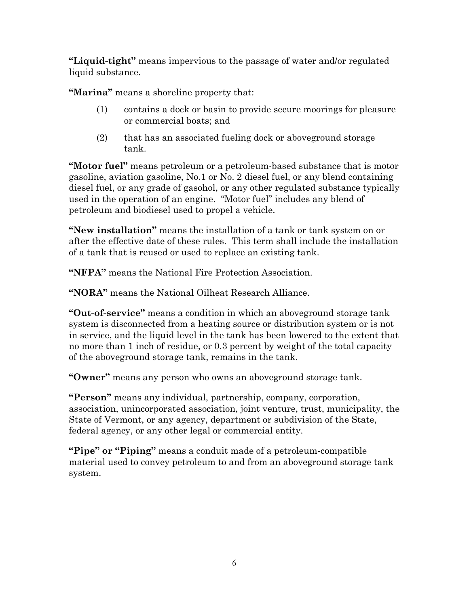**"Liquid-tight"** means impervious to the passage of water and/or regulated liquid substance.

**"Marina"** means a shoreline property that:

- (1) contains a dock or basin to provide secure moorings for pleasure or commercial boats; and
- (2) that has an associated fueling dock or aboveground storage tank.

**"Motor fuel"** means petroleum or a petroleum-based substance that is motor gasoline, aviation gasoline, No.1 or No. 2 diesel fuel, or any blend containing diesel fuel, or any grade of gasohol, or any other regulated substance typically used in the operation of an engine. "Motor fuel" includes any blend of petroleum and biodiesel used to propel a vehicle.

**"New installation"** means the installation of a tank or tank system on or after the effective date of these rules. This term shall include the installation of a tank that is reused or used to replace an existing tank.

**"NFPA"** means the National Fire Protection Association.

**"NORA"** means the National Oilheat Research Alliance.

**"Out-of-service"** means a condition in which an aboveground storage tank system is disconnected from a heating source or distribution system or is not in service, and the liquid level in the tank has been lowered to the extent that no more than 1 inch of residue, or 0.3 percent by weight of the total capacity of the aboveground storage tank, remains in the tank.

**"Owner"** means any person who owns an aboveground storage tank.

**"Person"** means any individual, partnership, company, corporation, association, unincorporated association, joint venture, trust, municipality, the State of Vermont, or any agency, department or subdivision of the State, federal agency, or any other legal or commercial entity.

**"Pipe" or "Piping"** means a conduit made of a petroleum-compatible material used to convey petroleum to and from an aboveground storage tank system.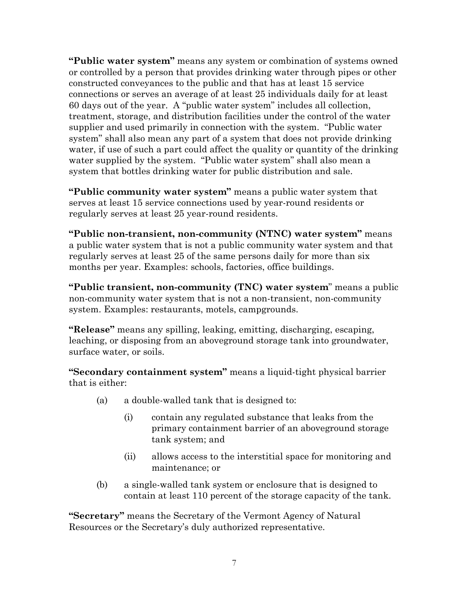**"Public water system"** means any system or combination of systems owned or controlled by a person that provides drinking water through pipes or other constructed conveyances to the public and that has at least 15 service connections or serves an average of at least 25 individuals daily for at least 60 days out of the year. A "public water system" includes all collection, treatment, storage, and distribution facilities under the control of the water supplier and used primarily in connection with the system. "Public water system" shall also mean any part of a system that does not provide drinking water, if use of such a part could affect the quality or quantity of the drinking water supplied by the system. "Public water system" shall also mean a system that bottles drinking water for public distribution and sale.

**"Public community water system"** means a public water system that serves at least 15 service connections used by year-round residents or regularly serves at least 25 year-round residents.

**"Public non-transient, non-community (NTNC) water system"** means a public water system that is not a public community water system and that regularly serves at least 25 of the same persons daily for more than six months per year. Examples: schools, factories, office buildings.

**"Public transient, non-community (TNC) water system**" means a public non-community water system that is not a non-transient, non-community system. Examples: restaurants, motels, campgrounds.

**"Release"** means any spilling, leaking, emitting, discharging, escaping, leaching, or disposing from an aboveground storage tank into groundwater, surface water, or soils.

**"Secondary containment system"** means a liquid-tight physical barrier that is either:

- (a) a double-walled tank that is designed to:
	- (i) contain any regulated substance that leaks from the primary containment barrier of an aboveground storage tank system; and
	- (ii) allows access to the interstitial space for monitoring and maintenance; or
- (b) a single-walled tank system or enclosure that is designed to contain at least 110 percent of the storage capacity of the tank.

**"Secretary"** means the Secretary of the Vermont Agency of Natural Resources or the Secretary's duly authorized representative.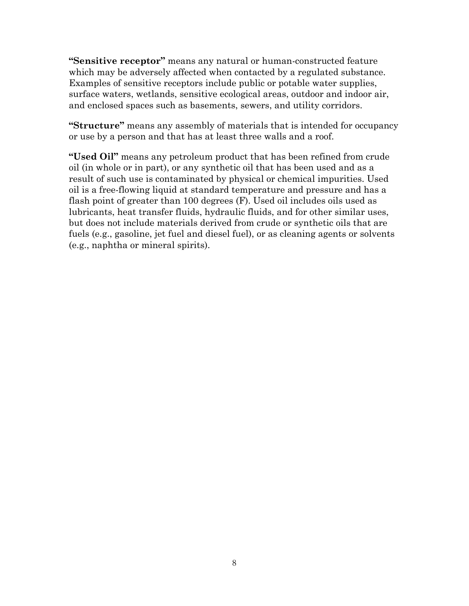**"Sensitive receptor"** means any natural or human-constructed feature which may be adversely affected when contacted by a regulated substance. Examples of sensitive receptors include public or potable water supplies, surface waters, wetlands, sensitive ecological areas, outdoor and indoor air, and enclosed spaces such as basements, sewers, and utility corridors.

**"Structure"** means any assembly of materials that is intended for occupancy or use by a person and that has at least three walls and a roof.

**"Used Oil"** means any petroleum product that has been refined from crude oil (in whole or in part), or any synthetic oil that has been used and as a result of such use is contaminated by physical or chemical impurities. Used oil is a free-flowing liquid at standard temperature and pressure and has a flash point of greater than 100 degrees (F). Used oil includes oils used as lubricants, heat transfer fluids, hydraulic fluids, and for other similar uses, but does not include materials derived from crude or synthetic oils that are fuels (e.g., gasoline, jet fuel and diesel fuel), or as cleaning agents or solvents (e.g., naphtha or mineral spirits).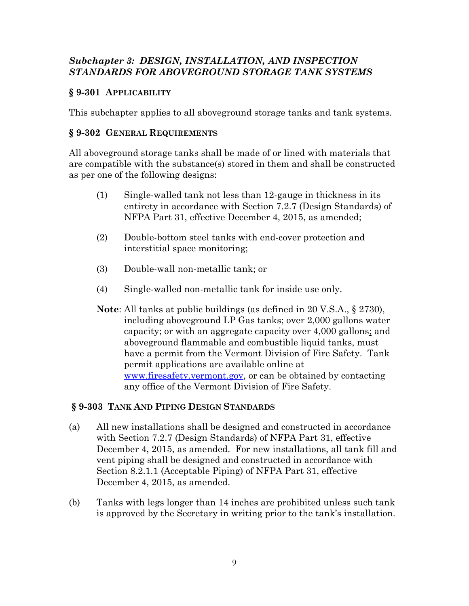# *Subchapter 3: DESIGN, INSTALLATION, AND INSPECTION STANDARDS FOR ABOVEGROUND STORAGE TANK SYSTEMS*

# **§ 9-301 APPLICABILITY**

This subchapter applies to all aboveground storage tanks and tank systems.

# **§ 9-302 GENERAL REQUIREMENTS**

All aboveground storage tanks shall be made of or lined with materials that are compatible with the substance(s) stored in them and shall be constructed as per one of the following designs:

- (1) Single-walled tank not less than 12-gauge in thickness in its entirety in accordance with Section 7.2.7 (Design Standards) of NFPA Part 31, effective December 4, 2015, as amended;
- (2) Double-bottom steel tanks with end-cover protection and interstitial space monitoring;
- (3) Double-wall non-metallic tank; or
- (4) Single-walled non-metallic tank for inside use only.
- **Note**: All tanks at public buildings (as defined in 20 V.S.A., § 2730), including aboveground LP Gas tanks; over 2,000 gallons water capacity; or with an aggregate capacity over 4,000 gallons; and aboveground flammable and combustible liquid tanks, must have a permit from the Vermont Division of Fire Safety. Tank permit applications are available online at [www.firesafety.vermont.gov,](http://www.firesafety.vermont.gov/) or can be obtained by contacting any office of the Vermont Division of Fire Safety.

#### **§ 9-303 TANK AND PIPING DESIGN STANDARDS**

- (a) All new installations shall be designed and constructed in accordance with Section 7.2.7 (Design Standards) of NFPA Part 31, effective December 4, 2015, as amended. For new installations, all tank fill and vent piping shall be designed and constructed in accordance with Section 8.2.1.1 (Acceptable Piping) of NFPA Part 31, effective December 4, 2015, as amended.
- (b) Tanks with legs longer than 14 inches are prohibited unless such tank is approved by the Secretary in writing prior to the tank's installation.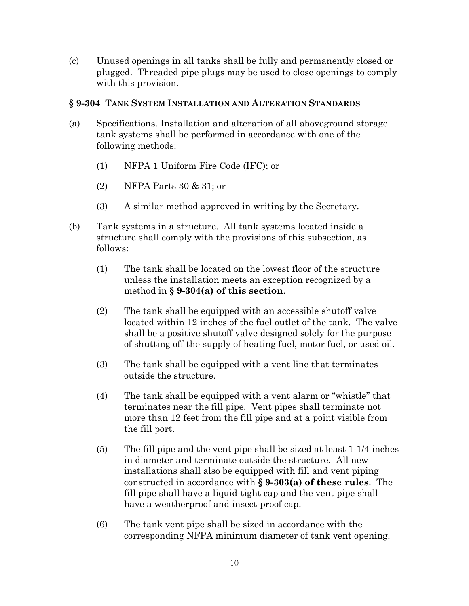(c) Unused openings in all tanks shall be fully and permanently closed or plugged. Threaded pipe plugs may be used to close openings to comply with this provision.

#### **§ 9-304 TANK SYSTEM INSTALLATION AND ALTERATION STANDARDS**

- (a) Specifications. Installation and alteration of all aboveground storage tank systems shall be performed in accordance with one of the following methods:
	- (1) NFPA 1 Uniform Fire Code (IFC); or
	- (2) NFPA Parts 30 & 31; or
	- (3) A similar method approved in writing by the Secretary.
- (b) Tank systems in a structure. All tank systems located inside a structure shall comply with the provisions of this subsection, as follows:
	- (1) The tank shall be located on the lowest floor of the structure unless the installation meets an exception recognized by a method in **§ 9-304(a) of this section**.
	- (2) The tank shall be equipped with an accessible shutoff valve located within 12 inches of the fuel outlet of the tank. The valve shall be a positive shutoff valve designed solely for the purpose of shutting off the supply of heating fuel, motor fuel, or used oil.
	- (3) The tank shall be equipped with a vent line that terminates outside the structure.
	- (4) The tank shall be equipped with a vent alarm or "whistle" that terminates near the fill pipe. Vent pipes shall terminate not more than 12 feet from the fill pipe and at a point visible from the fill port.
	- (5) The fill pipe and the vent pipe shall be sized at least 1-1/4 inches in diameter and terminate outside the structure. All new installations shall also be equipped with fill and vent piping constructed in accordance with **§ 9-303(a) of these rules**. The fill pipe shall have a liquid-tight cap and the vent pipe shall have a weatherproof and insect-proof cap.
	- (6) The tank vent pipe shall be sized in accordance with the corresponding NFPA minimum diameter of tank vent opening.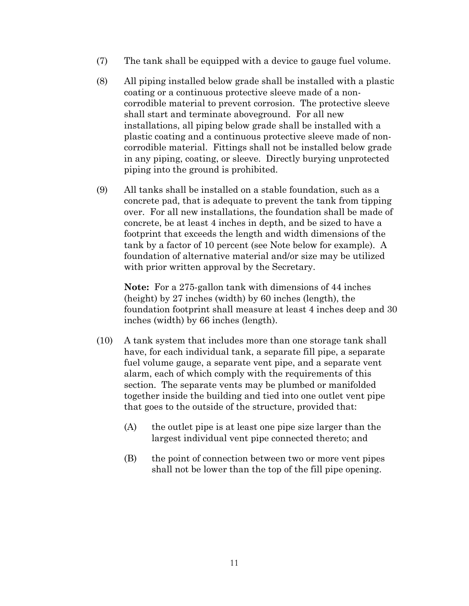- (7) The tank shall be equipped with a device to gauge fuel volume.
- (8) All piping installed below grade shall be installed with a plastic coating or a continuous protective sleeve made of a noncorrodible material to prevent corrosion. The protective sleeve shall start and terminate aboveground. For all new installations, all piping below grade shall be installed with a plastic coating and a continuous protective sleeve made of noncorrodible material. Fittings shall not be installed below grade in any piping, coating, or sleeve. Directly burying unprotected piping into the ground is prohibited.
- (9) All tanks shall be installed on a stable foundation, such as a concrete pad, that is adequate to prevent the tank from tipping over. For all new installations, the foundation shall be made of concrete, be at least 4 inches in depth, and be sized to have a footprint that exceeds the length and width dimensions of the tank by a factor of 10 percent (see Note below for example). A foundation of alternative material and/or size may be utilized with prior written approval by the Secretary.

**Note:** For a 275-gallon tank with dimensions of 44 inches (height) by 27 inches (width) by 60 inches (length), the foundation footprint shall measure at least 4 inches deep and 30 inches (width) by 66 inches (length).

- (10) A tank system that includes more than one storage tank shall have, for each individual tank, a separate fill pipe, a separate fuel volume gauge, a separate vent pipe, and a separate vent alarm, each of which comply with the requirements of this section. The separate vents may be plumbed or manifolded together inside the building and tied into one outlet vent pipe that goes to the outside of the structure, provided that:
	- (A) the outlet pipe is at least one pipe size larger than the largest individual vent pipe connected thereto; and
	- (B) the point of connection between two or more vent pipes shall not be lower than the top of the fill pipe opening.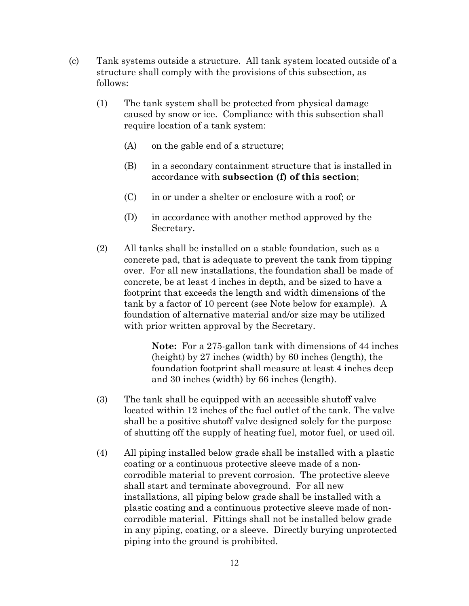- (c) Tank systems outside a structure. All tank system located outside of a structure shall comply with the provisions of this subsection, as follows:
	- (1) The tank system shall be protected from physical damage caused by snow or ice. Compliance with this subsection shall require location of a tank system:
		- (A) on the gable end of a structure;
		- (B) in a secondary containment structure that is installed in accordance with **subsection (f) of this section**;
		- (C) in or under a shelter or enclosure with a roof; or
		- (D) in accordance with another method approved by the Secretary.
	- (2) All tanks shall be installed on a stable foundation, such as a concrete pad, that is adequate to prevent the tank from tipping over. For all new installations, the foundation shall be made of concrete, be at least 4 inches in depth, and be sized to have a footprint that exceeds the length and width dimensions of the tank by a factor of 10 percent (see Note below for example). A foundation of alternative material and/or size may be utilized with prior written approval by the Secretary.

**Note:** For a 275-gallon tank with dimensions of 44 inches (height) by 27 inches (width) by 60 inches (length), the foundation footprint shall measure at least 4 inches deep and 30 inches (width) by 66 inches (length).

- (3) The tank shall be equipped with an accessible shutoff valve located within 12 inches of the fuel outlet of the tank. The valve shall be a positive shutoff valve designed solely for the purpose of shutting off the supply of heating fuel, motor fuel, or used oil.
- (4) All piping installed below grade shall be installed with a plastic coating or a continuous protective sleeve made of a noncorrodible material to prevent corrosion. The protective sleeve shall start and terminate aboveground. For all new installations, all piping below grade shall be installed with a plastic coating and a continuous protective sleeve made of noncorrodible material. Fittings shall not be installed below grade in any piping, coating, or a sleeve. Directly burying unprotected piping into the ground is prohibited.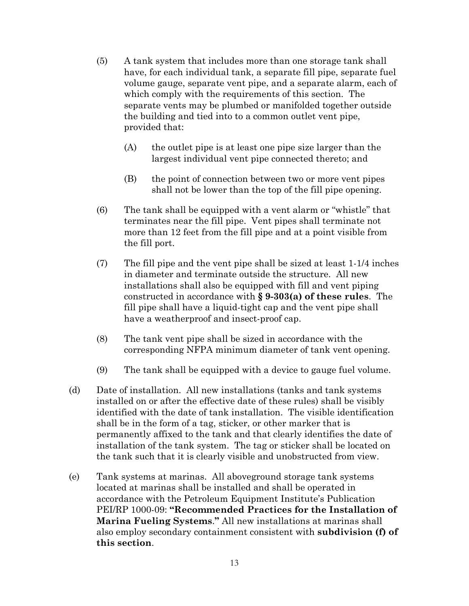- (5) A tank system that includes more than one storage tank shall have, for each individual tank, a separate fill pipe, separate fuel volume gauge, separate vent pipe, and a separate alarm, each of which comply with the requirements of this section. The separate vents may be plumbed or manifolded together outside the building and tied into to a common outlet vent pipe, provided that:
	- (A) the outlet pipe is at least one pipe size larger than the largest individual vent pipe connected thereto; and
	- (B) the point of connection between two or more vent pipes shall not be lower than the top of the fill pipe opening.
- (6) The tank shall be equipped with a vent alarm or "whistle" that terminates near the fill pipe. Vent pipes shall terminate not more than 12 feet from the fill pipe and at a point visible from the fill port.
- (7) The fill pipe and the vent pipe shall be sized at least 1-1/4 inches in diameter and terminate outside the structure. All new installations shall also be equipped with fill and vent piping constructed in accordance with **§ 9-303(a) of these rules**. The fill pipe shall have a liquid-tight cap and the vent pipe shall have a weatherproof and insect-proof cap.
- (8) The tank vent pipe shall be sized in accordance with the corresponding NFPA minimum diameter of tank vent opening.
- (9) The tank shall be equipped with a device to gauge fuel volume.
- (d) Date of installation. All new installations (tanks and tank systems installed on or after the effective date of these rules) shall be visibly identified with the date of tank installation. The visible identification shall be in the form of a tag, sticker, or other marker that is permanently affixed to the tank and that clearly identifies the date of installation of the tank system. The tag or sticker shall be located on the tank such that it is clearly visible and unobstructed from view.
- (e) Tank systems at marinas. All aboveground storage tank systems located at marinas shall be installed and shall be operated in accordance with the Petroleum Equipment Institute's Publication PEI/RP 1000-09: **"Recommended Practices for the Installation of Marina Fueling Systems**.**"** All new installations at marinas shall also employ secondary containment consistent with **subdivision (f) of this section**.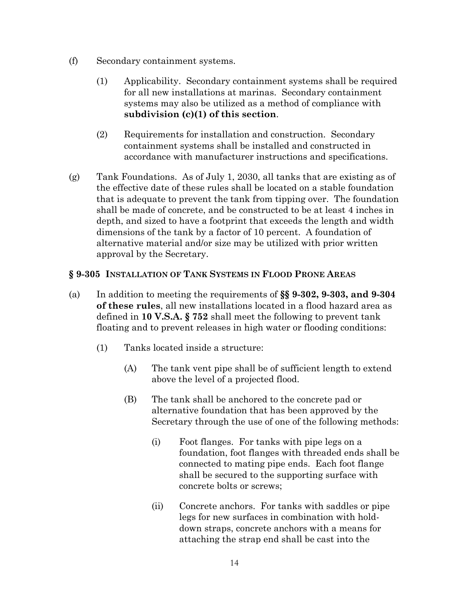- (f) Secondary containment systems.
	- (1) Applicability. Secondary containment systems shall be required for all new installations at marinas. Secondary containment systems may also be utilized as a method of compliance with **subdivision (c)(1) of this section**.
	- (2) Requirements for installation and construction. Secondary containment systems shall be installed and constructed in accordance with manufacturer instructions and specifications.
- (g) Tank Foundations. As of July 1, 2030, all tanks that are existing as of the effective date of these rules shall be located on a stable foundation that is adequate to prevent the tank from tipping over. The foundation shall be made of concrete, and be constructed to be at least 4 inches in depth, and sized to have a footprint that exceeds the length and width dimensions of the tank by a factor of 10 percent. A foundation of alternative material and/or size may be utilized with prior written approval by the Secretary.

# **§ 9-305 INSTALLATION OF TANK SYSTEMS IN FLOOD PRONE AREAS**

- (a) In addition to meeting the requirements of **§§ 9-302, 9-303, and 9-304 of these rules**, all new installations located in a flood hazard area as defined in **10 V.S.A. § 752** shall meet the following to prevent tank floating and to prevent releases in high water or flooding conditions:
	- (1) Tanks located inside a structure:
		- (A) The tank vent pipe shall be of sufficient length to extend above the level of a projected flood.
		- (B) The tank shall be anchored to the concrete pad or alternative foundation that has been approved by the Secretary through the use of one of the following methods:
			- (i) Foot flanges. For tanks with pipe legs on a foundation, foot flanges with threaded ends shall be connected to mating pipe ends. Each foot flange shall be secured to the supporting surface with concrete bolts or screws;
			- (ii) Concrete anchors. For tanks with saddles or pipe legs for new surfaces in combination with holddown straps, concrete anchors with a means for attaching the strap end shall be cast into the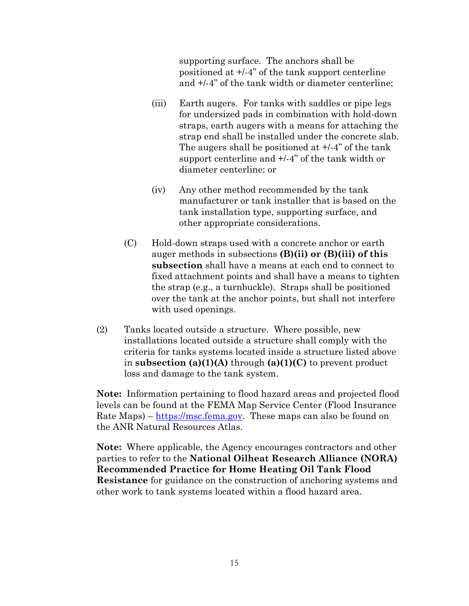supporting surface. The anchors shall be positioned at +/-4" of the tank support centerline and +/-4" of the tank width or diameter centerline;

- (iii) Earth augers. For tanks with saddles or pipe legs for undersized pads in combination with hold-down straps, earth augers with a means for attaching the strap end shall be installed under the concrete slab. The augers shall be positioned at +/-4" of the tank support centerline and +/-4" of the tank width or diameter centerline; or
- (iv) Any other method recommended by the tank manufacturer or tank installer that is based on the tank installation type, supporting surface, and other appropriate considerations.
- (C) Hold-down straps used with a concrete anchor or earth auger methods in subsections **(B)(ii) or (B)(iii) of this subsection** shall have a means at each end to connect to fixed attachment points and shall have a means to tighten the strap (e.g., a turnbuckle). Straps shall be positioned over the tank at the anchor points, but shall not interfere with used openings.
- (2) Tanks located outside a structure. Where possible, new installations located outside a structure shall comply with the criteria for tanks systems located inside a structure listed above in **subsection (a)(1)(A)** through **(a)(1)(C)** to prevent product loss and damage to the tank system.

**Note:** Information pertaining to flood hazard areas and projected flood levels can be found at the FEMA Map Service Center (Flood Insurance Rate Maps) – [https://msc.fema.gov.](https://msc.fema.gov/) These maps can also be found on the ANR Natural Resources Atlas.

**Note:** Where applicable, the Agency encourages contractors and other parties to refer to the **National Oilheat Research Alliance (NORA) Recommended Practice for Home Heating Oil Tank Flood Resistance** for guidance on the construction of anchoring systems and other work to tank systems located within a flood hazard area.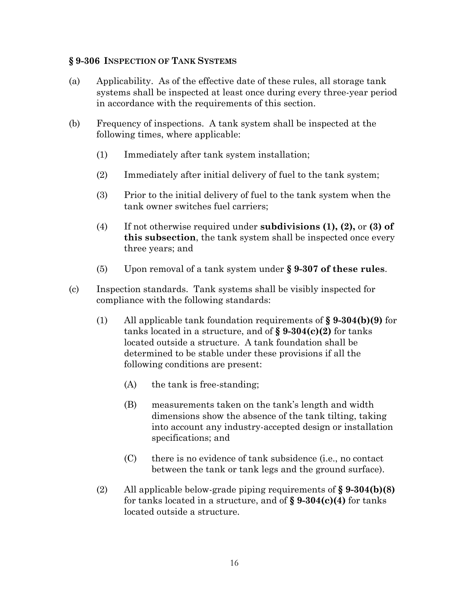#### **§ 9-306 INSPECTION OF TANK SYSTEMS**

- (a) Applicability. As of the effective date of these rules, all storage tank systems shall be inspected at least once during every three-year period in accordance with the requirements of this section.
- (b) Frequency of inspections. A tank system shall be inspected at the following times, where applicable:
	- (1) Immediately after tank system installation;
	- (2) Immediately after initial delivery of fuel to the tank system;
	- (3) Prior to the initial delivery of fuel to the tank system when the tank owner switches fuel carriers;
	- (4) If not otherwise required under **subdivisions (1), (2),** or **(3) of this subsection**, the tank system shall be inspected once every three years; and
	- (5) Upon removal of a tank system under **§ 9-307 of these rules**.
- (c) Inspection standards. Tank systems shall be visibly inspected for compliance with the following standards:
	- (1) All applicable tank foundation requirements of **§ 9-304(b)(9)** for tanks located in a structure, and of **§ 9-304(c)(2)** for tanks located outside a structure. A tank foundation shall be determined to be stable under these provisions if all the following conditions are present:
		- (A) the tank is free-standing;
		- (B) measurements taken on the tank's length and width dimensions show the absence of the tank tilting, taking into account any industry-accepted design or installation specifications; and
		- (C) there is no evidence of tank subsidence (i.e., no contact between the tank or tank legs and the ground surface).
	- (2) All applicable below-grade piping requirements of **§ 9-304(b)(8)** for tanks located in a structure, and of **§ 9-304(c)(4)** for tanks located outside a structure.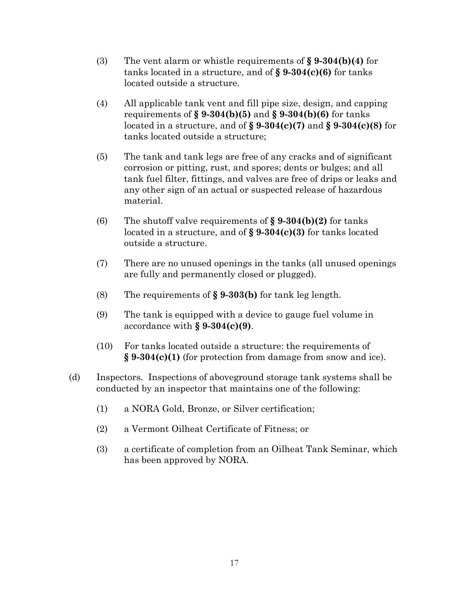- (3) The vent alarm or whistle requirements of **§ 9-304(b)(4)** for tanks located in a structure, and of **§ 9-304(c)(6)** for tanks located outside a structure.
- (4) All applicable tank vent and fill pipe size, design, and capping requirements of **§ 9-304(b)(5)** and **§ 9-304(b)(6)** for tanks located in a structure, and of **§ 9-304(c)(7)** and **§ 9-304(c)(8)** for tanks located outside a structure;
- (5) The tank and tank legs are free of any cracks and of significant corrosion or pitting, rust, and spores; dents or bulges; and all tank fuel filter, fittings, and valves are free of drips or leaks and any other sign of an actual or suspected release of hazardous material.
- (6) The shutoff valve requirements of **§ 9-304(b)(2)** for tanks located in a structure, and of **§ 9-304(c)(3)** for tanks located outside a structure.
- (7) There are no unused openings in the tanks (all unused openings are fully and permanently closed or plugged).
- (8) The requirements of **§ 9-303(b)** for tank leg length.
- (9) The tank is equipped with a device to gauge fuel volume in accordance with **§ 9-304(c)(9)**.
- (10) For tanks located outside a structure: the requirements of **§ 9-304(c)(1)** (for protection from damage from snow and ice).
- (d) Inspectors. Inspections of aboveground storage tank systems shall be conducted by an inspector that maintains one of the following:
	- (1) a NORA Gold, Bronze, or Silver certification;
	- (2) a Vermont Oilheat Certificate of Fitness; or
	- (3) a certificate of completion from an Oilheat Tank Seminar, which has been approved by NORA.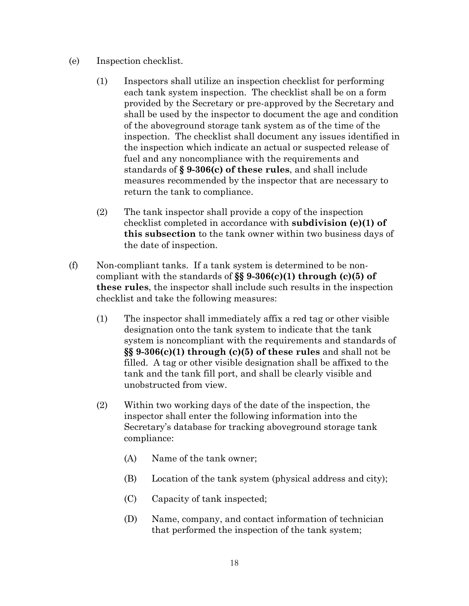- (e) Inspection checklist.
	- (1) Inspectors shall utilize an inspection checklist for performing each tank system inspection. The checklist shall be on a form provided by the Secretary or pre-approved by the Secretary and shall be used by the inspector to document the age and condition of the aboveground storage tank system as of the time of the inspection. The checklist shall document any issues identified in the inspection which indicate an actual or suspected release of fuel and any noncompliance with the requirements and standards of **§ 9-306(c) of these rules**, and shall include measures recommended by the inspector that are necessary to return the tank to compliance.
	- (2) The tank inspector shall provide a copy of the inspection checklist completed in accordance with **subdivision (e)(1) of this subsection** to the tank owner within two business days of the date of inspection.
- (f) Non-compliant tanks. If a tank system is determined to be noncompliant with the standards of **§§ 9-306(c)(1) through (c)(5) of these rules**, the inspector shall include such results in the inspection checklist and take the following measures:
	- (1) The inspector shall immediately affix a red tag or other visible designation onto the tank system to indicate that the tank system is noncompliant with the requirements and standards of **§§ 9-306(c)(1) through (c)(5) of these rules** and shall not be filled. A tag or other visible designation shall be affixed to the tank and the tank fill port, and shall be clearly visible and unobstructed from view.
	- (2) Within two working days of the date of the inspection, the inspector shall enter the following information into the Secretary's database for tracking aboveground storage tank compliance:
		- (A) Name of the tank owner;
		- (B) Location of the tank system (physical address and city);
		- (C) Capacity of tank inspected;
		- (D) Name, company, and contact information of technician that performed the inspection of the tank system;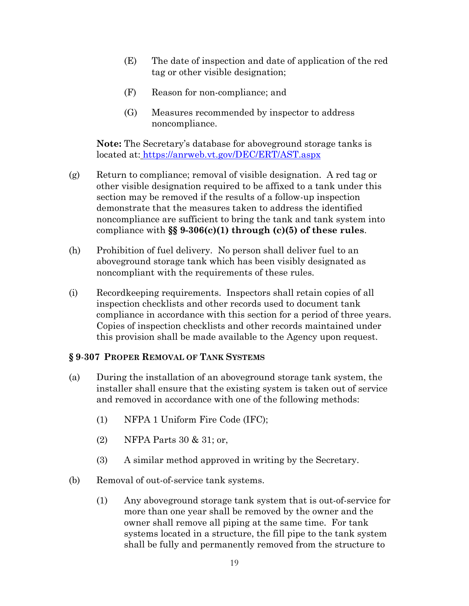- (E) The date of inspection and date of application of the red tag or other visible designation;
- (F) Reason for non-compliance; and
- (G) Measures recommended by inspector to address noncompliance.

**Note:** The Secretary's database for aboveground storage tanks is located at: <https://anrweb.vt.gov/DEC/ERT/AST.aspx>

- (g) Return to compliance; removal of visible designation. A red tag or other visible designation required to be affixed to a tank under this section may be removed if the results of a follow-up inspection demonstrate that the measures taken to address the identified noncompliance are sufficient to bring the tank and tank system into compliance with **§§ 9-306(c)(1) through (c)(5) of these rules**.
- (h) Prohibition of fuel delivery. No person shall deliver fuel to an aboveground storage tank which has been visibly designated as noncompliant with the requirements of these rules.
- (i) Recordkeeping requirements. Inspectors shall retain copies of all inspection checklists and other records used to document tank compliance in accordance with this section for a period of three years. Copies of inspection checklists and other records maintained under this provision shall be made available to the Agency upon request.

# **§ 9**-**307 PROPER REMOVAL OF TANK SYSTEMS**

- (a) During the installation of an aboveground storage tank system, the installer shall ensure that the existing system is taken out of service and removed in accordance with one of the following methods:
	- (1) NFPA 1 Uniform Fire Code (IFC);
	- (2) NFPA Parts 30 & 31; or,
	- (3) A similar method approved in writing by the Secretary.
- (b) Removal of out-of-service tank systems.
	- (1) Any aboveground storage tank system that is out-of-service for more than one year shall be removed by the owner and the owner shall remove all piping at the same time. For tank systems located in a structure, the fill pipe to the tank system shall be fully and permanently removed from the structure to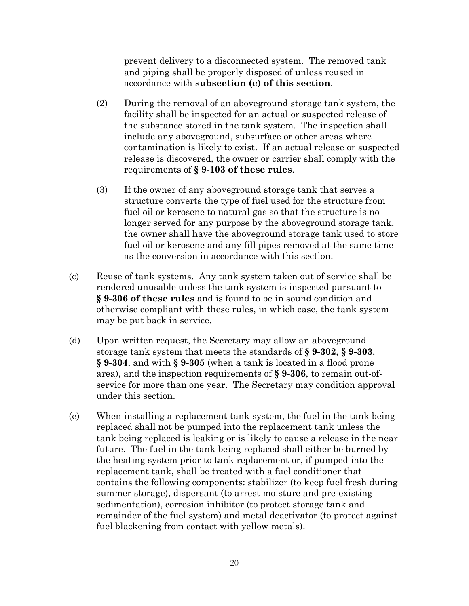prevent delivery to a disconnected system. The removed tank and piping shall be properly disposed of unless reused in accordance with **subsection (c) of this section**.

- (2) During the removal of an aboveground storage tank system, the facility shall be inspected for an actual or suspected release of the substance stored in the tank system. The inspection shall include any aboveground, subsurface or other areas where contamination is likely to exist. If an actual release or suspected release is discovered, the owner or carrier shall comply with the requirements of **§ 9-103 of these rules**.
- (3) If the owner of any aboveground storage tank that serves a structure converts the type of fuel used for the structure from fuel oil or kerosene to natural gas so that the structure is no longer served for any purpose by the aboveground storage tank, the owner shall have the aboveground storage tank used to store fuel oil or kerosene and any fill pipes removed at the same time as the conversion in accordance with this section.
- (c) Reuse of tank systems. Any tank system taken out of service shall be rendered unusable unless the tank system is inspected pursuant to **§ 9-306 of these rules** and is found to be in sound condition and otherwise compliant with these rules, in which case, the tank system may be put back in service.
- (d) Upon written request, the Secretary may allow an aboveground storage tank system that meets the standards of **§ 9-302**, **§ 9-303**, **§ 9-304**, and with **§ 9-305** (when a tank is located in a flood prone area), and the inspection requirements of **§ 9-306**, to remain out-ofservice for more than one year. The Secretary may condition approval under this section.
- (e) When installing a replacement tank system, the fuel in the tank being replaced shall not be pumped into the replacement tank unless the tank being replaced is leaking or is likely to cause a release in the near future. The fuel in the tank being replaced shall either be burned by the heating system prior to tank replacement or, if pumped into the replacement tank, shall be treated with a fuel conditioner that contains the following components: stabilizer (to keep fuel fresh during summer storage), dispersant (to arrest moisture and pre-existing sedimentation), corrosion inhibitor (to protect storage tank and remainder of the fuel system) and metal deactivator (to protect against fuel blackening from contact with yellow metals).